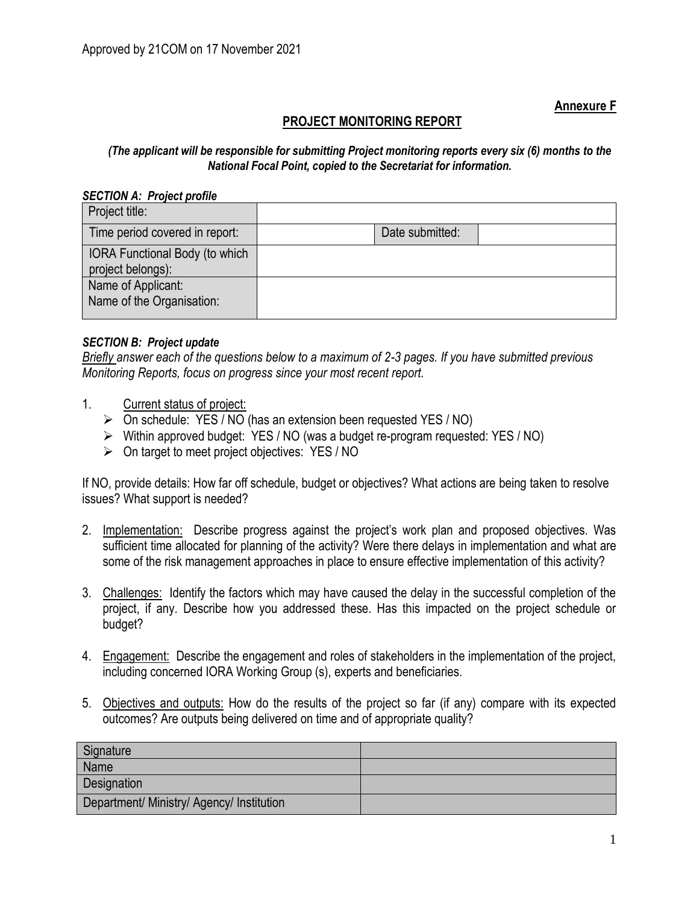**Annexure F**

## **PROJECT MONITORING REPORT**

## *(The applicant will be responsible for submitting Project monitoring reports every six (6) months to the National Focal Point, copied to the Secretariat for information.*

## *SECTION A: Project profile*

| Project title:                                      |                 |  |
|-----------------------------------------------------|-----------------|--|
| Time period covered in report:                      | Date submitted: |  |
| IORA Functional Body (to which<br>project belongs): |                 |  |
| Name of Applicant:<br>Name of the Organisation:     |                 |  |

## *SECTION B: Project update*

*Briefly answer each of the questions below to a maximum of 2-3 pages. If you have submitted previous Monitoring Reports, focus on progress since your most recent report.*

- 1. Current status of project:
	- ➢ On schedule: YES / NO (has an extension been requested YES / NO)
	- ➢ Within approved budget: YES / NO (was a budget re-program requested: YES / NO)
	- ➢ On target to meet project objectives: YES / NO

If NO, provide details: How far off schedule, budget or objectives? What actions are being taken to resolve issues? What support is needed?

- 2. Implementation: Describe progress against the project's work plan and proposed objectives. Was sufficient time allocated for planning of the activity? Were there delays in implementation and what are some of the risk management approaches in place to ensure effective implementation of this activity?
- 3. Challenges: Identify the factors which may have caused the delay in the successful completion of the project, if any. Describe how you addressed these. Has this impacted on the project schedule or budget?
- 4. Engagement: Describe the engagement and roles of stakeholders in the implementation of the project, including concerned IORA Working Group (s), experts and beneficiaries.
- 5. Objectives and outputs: How do the results of the project so far (if any) compare with its expected outcomes? Are outputs being delivered on time and of appropriate quality?

| Signature                                 |  |
|-------------------------------------------|--|
| Name                                      |  |
| Designation                               |  |
| Department/ Ministry/ Agency/ Institution |  |